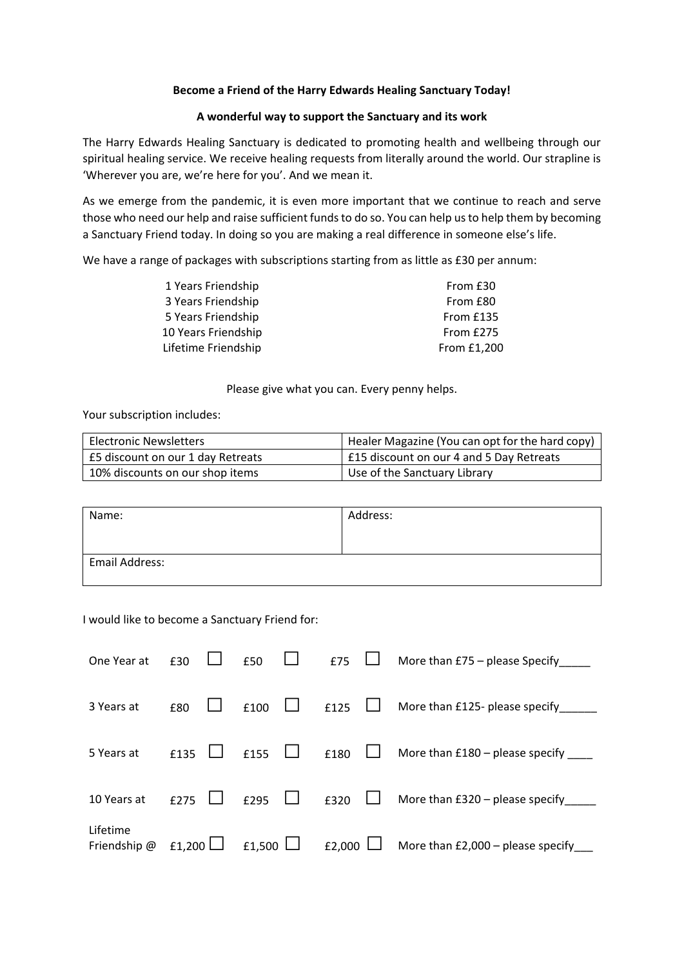## **Become a Friend of the Harry Edwards Healing Sanctuary Today!**

## **A wonderful way to support the Sanctuary and its work**

The Harry Edwards Healing Sanctuary is dedicated to promoting health and wellbeing through our spiritual healing service. We receive healing requests from literally around the world. Our strapline is 'Wherever you are, we're here for you'. And we mean it.

As we emerge from the pandemic, it is even more important that we continue to reach and serve those who need our help and raise sufficient funds to do so. You can help us to help them by becoming a Sanctuary Friend today. In doing so you are making a real difference in someone else's life.

We have a range of packages with subscriptions starting from as little as £30 per annum:

| From £30    |
|-------------|
| From £80    |
| From £135   |
| From £275   |
| From £1.200 |
|             |

Please give what you can. Every penny helps.

Your subscription includes:

| <b>Electronic Newsletters</b>     | Healer Magazine (You can opt for the hard copy) |
|-----------------------------------|-------------------------------------------------|
| £5 discount on our 1 day Retreats | £15 discount on our 4 and 5 Day Retreats        |
| 10% discounts on our shop items   | Use of the Sanctuary Library                    |

| Name:          | Address: |
|----------------|----------|
|                |          |
| Email Address: |          |
|                |          |

I would like to become a Sanctuary Friend for:

| One Year at              | £30           | £50           | £75           | More than £75 – please Specify          |
|--------------------------|---------------|---------------|---------------|-----------------------------------------|
| 3 Years at               | £80           | £100          | £125          | More than £125- please specify          |
| 5 Years at               | £135          | £155          | £180          | More than $£180 -$ please specify _____ |
| 10 Years at              | £275          | £295          | £320          | More than $£320$ – please specify       |
| Lifetime<br>Friendship @ | £1,200 $\Box$ | £1,500 $\Box$ | £2,000 $\Box$ | More than $E2,000$ – please specify     |